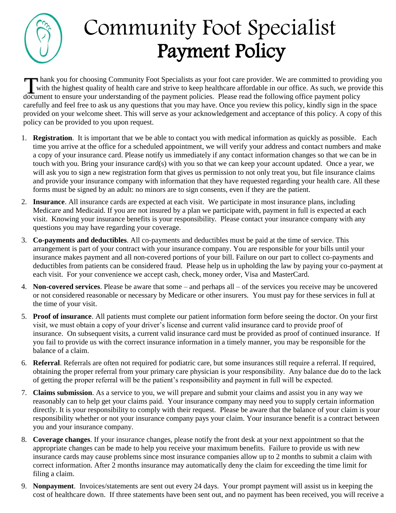

## Community Foot Specialist Payment Policy

 hank you for choosing Community Foot Specialists as your foot care provider. We are committed to providing you with the highest quality of health care and strive to keep healthcare affordable in our office. As such, we provide this Thank you for choosing Community Foot Specialists as your foot care provider. We are committed to providivity with the highest quality of health care and strive to keep healthcare affordable in our office. As such, we prov carefully and feel free to ask us any questions that you may have. Once you review this policy, kindly sign in the space provided on your welcome sheet. This will serve as your acknowledgement and acceptance of this policy. A copy of this policy can be provided to you upon request.

- 1. **Registration**. It is important that we be able to contact you with medical information as quickly as possible. Each time you arrive at the office for a scheduled appointment, we will verify your address and contact numbers and make a copy of your insurance card. Please notify us immediately if any contact information changes so that we can be in touch with you. Bring your insurance card(s) with you so that we can keep your account updated. Once a year, we will ask you to sign a new registration form that gives us permission to not only treat you, but file insurance claims and provide your insurance company with information that they have requested regarding your health care. All these forms must be signed by an adult: no minors are to sign consents, even if they are the patient.
- 2. **Insurance**. All insurance cards are expected at each visit. We participate in most insurance plans, including Medicare and Medicaid. If you are not insured by a plan we participate with, payment in full is expected at each visit. Knowing your insurance benefits is your responsibility. Please contact your insurance company with any questions you may have regarding your coverage.
- 3. **Co-payments and deductibles**. All co-payments and deductibles must be paid at the time of service. This arrangement is part of your contract with your insurance company. You are responsible for your bills until your insurance makes payment and all non-covered portions of your bill. Failure on our part to collect co-payments and deductibles from patients can be considered fraud. Please help us in upholding the law by paying your co-payment at each visit. For your convenience we accept cash, check, money order, Visa and MasterCard.
- 4. **Non-covered services**. Please be aware that some and perhaps all of the services you receive may be uncovered or not considered reasonable or necessary by Medicare or other insurers. You must pay for these services in full at the time of your visit.
- 5. **Proof of insurance**. All patients must complete our patient information form before seeing the doctor. On your first visit, we must obtain a copy of your driver's license and current valid insurance card to provide proof of insurance. On subsequent visits, a current valid insurance card must be provided as proof of continued insurance. If you fail to provide us with the correct insurance information in a timely manner, you may be responsible for the balance of a claim.
- 6. **Referral**. Referrals are often not required for podiatric care, but some insurances still require a referral. If required, obtaining the proper referral from your primary care physician is your responsibility. Any balance due do to the lack of getting the proper referral will be the patient's responsibility and payment in full will be expected.
- 7. **Claims submission**. As a service to you, we will prepare and submit your claims and assist you in any way we reasonably can to help get your claims paid. Your insurance company may need you to supply certain information directly. It is your responsibility to comply with their request. Please be aware that the balance of your claim is your responsibility whether or not your insurance company pays your claim. Your insurance benefit is a contract between you and your insurance company.
- 8. **Coverage changes**. If your insurance changes, please notify the front desk at your next appointment so that the appropriate changes can be made to help you receive your maximum benefits. Failure to provide us with new insurance cards may cause problems since most insurance companies allow up to 2 months to submit a claim with correct information. After 2 months insurance may automatically deny the claim for exceeding the time limit for filing a claim.
- 9. **Nonpayment**. Invoices/statements are sent out every 24 days. Your prompt payment will assist us in keeping the cost of healthcare down. If three statements have been sent out, and no payment has been received, you will receive a